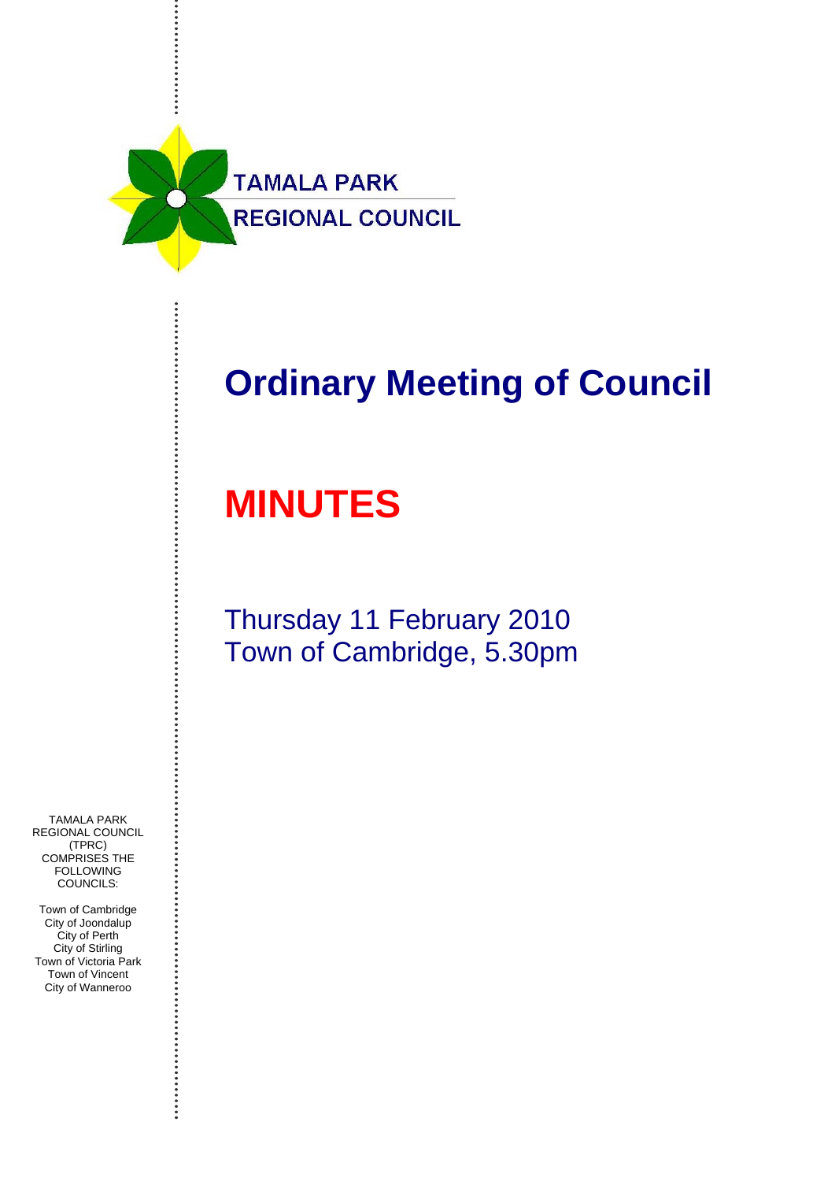

# **Ordinary Meeting of Council**

# **MINUTES**

## Thursday 11 February 2010 Town of Cambridge, 5.30pm

TAMALA PARK REGIONAL COUNCIL (TPRC) COMPRISES THE **FOLLOWING** COUNCILS:

Town of Cambridge City of Joondalup City of Perth City of Stirling Town of Victoria Park Town of Vincent City of Wanneroo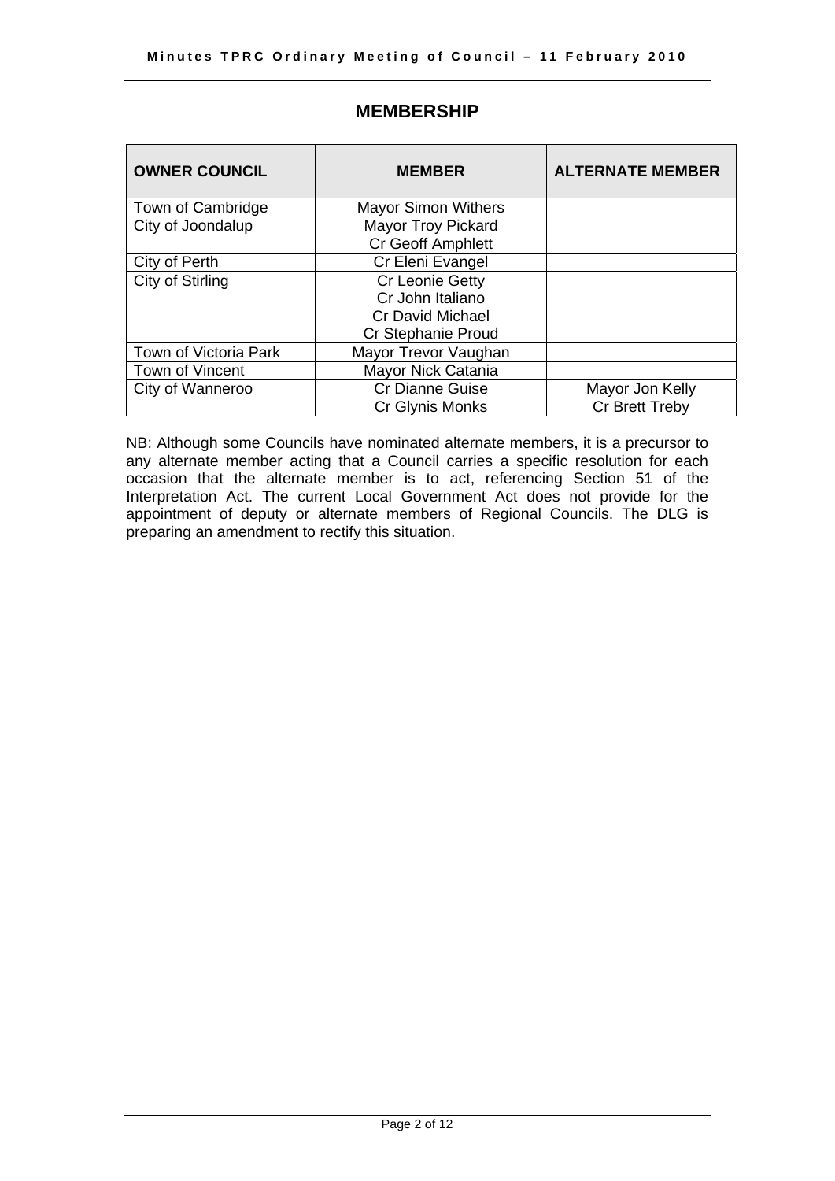| <b>OWNER COUNCIL</b>  | <b>MEMBER</b>              | <b>ALTERNATE MEMBER</b> |
|-----------------------|----------------------------|-------------------------|
| Town of Cambridge     | <b>Mayor Simon Withers</b> |                         |
| City of Joondalup     | <b>Mayor Troy Pickard</b>  |                         |
|                       | <b>Cr Geoff Amphlett</b>   |                         |
| City of Perth         | Cr Eleni Evangel           |                         |
| City of Stirling      | Cr Leonie Getty            |                         |
|                       | Cr John Italiano           |                         |
|                       | <b>Cr David Michael</b>    |                         |
|                       | Cr Stephanie Proud         |                         |
| Town of Victoria Park | Mayor Trevor Vaughan       |                         |
| Town of Vincent       | Mayor Nick Catania         |                         |
| City of Wanneroo      | <b>Cr Dianne Guise</b>     | Mayor Jon Kelly         |
|                       | Cr Glynis Monks            | Cr Brett Treby          |

### **MEMBERSHIP**

NB: Although some Councils have nominated alternate members, it is a precursor to any alternate member acting that a Council carries a specific resolution for each occasion that the alternate member is to act, referencing Section 51 of the Interpretation Act. The current Local Government Act does not provide for the appointment of deputy or alternate members of Regional Councils. The DLG is preparing an amendment to rectify this situation.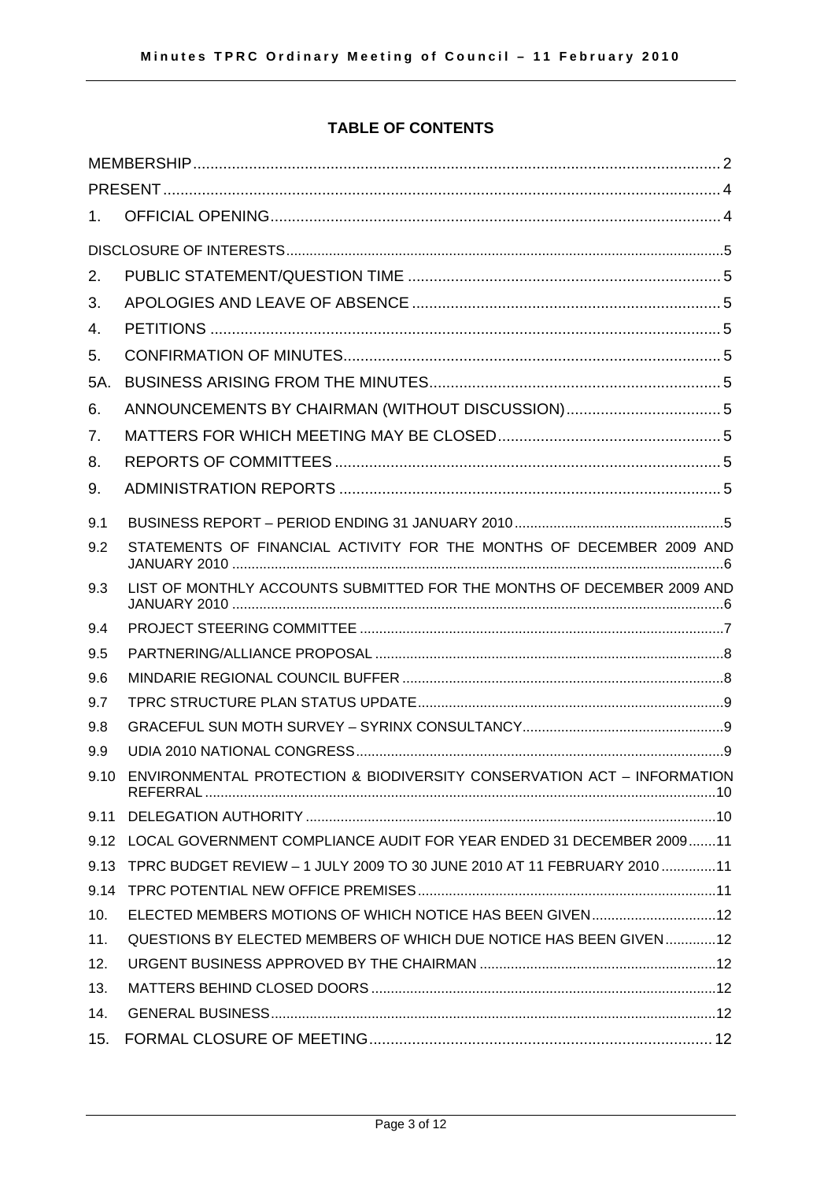### **TABLE OF CONTENTS**

| 1.   |                                                                          |
|------|--------------------------------------------------------------------------|
|      |                                                                          |
| 2.   |                                                                          |
| 3.   |                                                                          |
| 4.   |                                                                          |
| 5.   |                                                                          |
| 5A.  |                                                                          |
| 6.   | ANNOUNCEMENTS BY CHAIRMAN (WITHOUT DISCUSSION)5                          |
| 7.   |                                                                          |
| 8.   |                                                                          |
| 9.   |                                                                          |
| 9.1  |                                                                          |
| 9.2  | STATEMENTS OF FINANCIAL ACTIVITY FOR THE MONTHS OF DECEMBER 2009 AND     |
| 9.3  | LIST OF MONTHLY ACCOUNTS SUBMITTED FOR THE MONTHS OF DECEMBER 2009 AND   |
| 9.4  |                                                                          |
| 9.5  |                                                                          |
| 9.6  |                                                                          |
| 9.7  |                                                                          |
| 9.8  |                                                                          |
| 9.9  |                                                                          |
| 9.10 | ENVIRONMENTAL PROTECTION & BIODIVERSITY CONSERVATION ACT - INFORMATION   |
| 9.11 |                                                                          |
|      | 9.12 LOCAL GOVERNMENT COMPLIANCE AUDIT FOR YEAR ENDED 31 DECEMBER 200911 |
| 9.13 | TPRC BUDGET REVIEW - 1 JULY 2009 TO 30 JUNE 2010 AT 11 FEBRUARY 2010 11  |
| 9.14 |                                                                          |
| 10.  | ELECTED MEMBERS MOTIONS OF WHICH NOTICE HAS BEEN GIVEN12                 |
| 11.  | QUESTIONS BY ELECTED MEMBERS OF WHICH DUE NOTICE HAS BEEN GIVEN12        |
| 12.  |                                                                          |
| 13.  |                                                                          |
| 14.  |                                                                          |
| 15.  |                                                                          |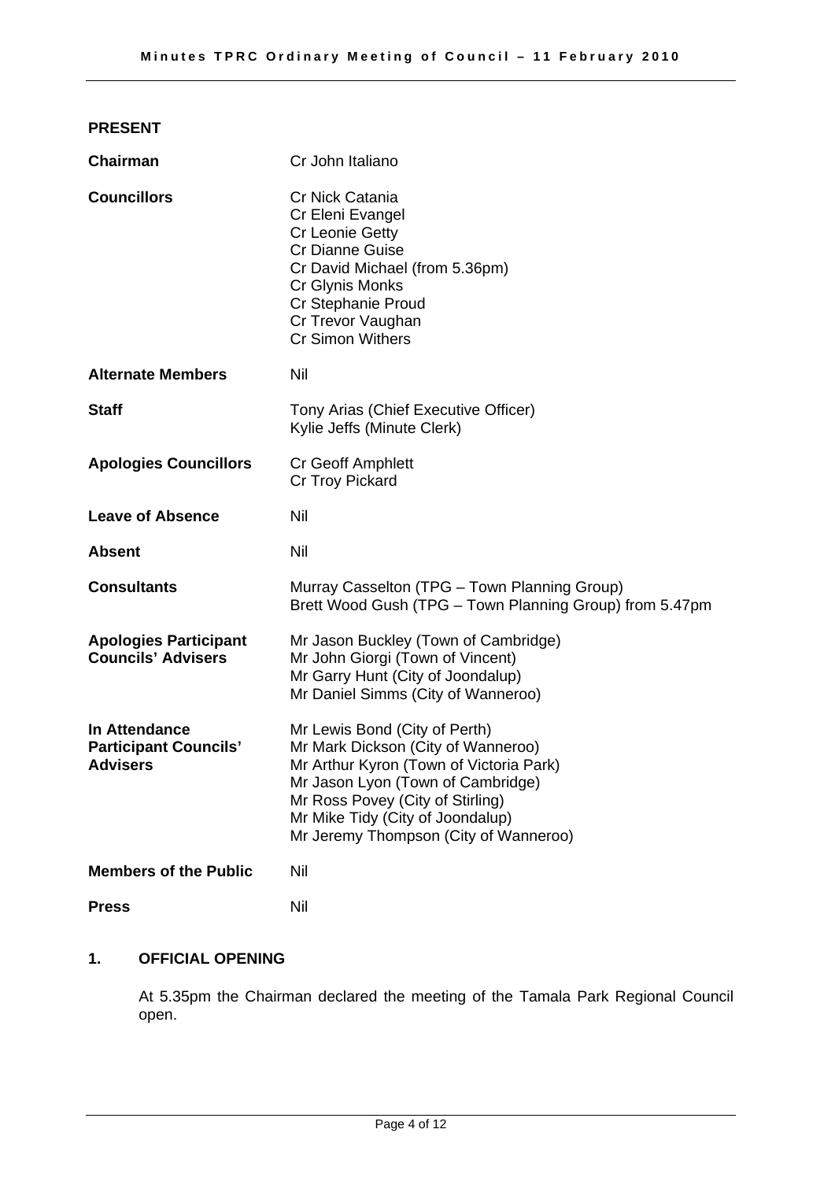#### **PRESENT**

| <b>Chairman</b>                                                  | Cr John Italiano                                                                                                                                                                                                                                                     |  |
|------------------------------------------------------------------|----------------------------------------------------------------------------------------------------------------------------------------------------------------------------------------------------------------------------------------------------------------------|--|
| <b>Councillors</b>                                               | Cr Nick Catania<br>Cr Eleni Evangel<br><b>Cr Leonie Getty</b><br><b>Cr Dianne Guise</b><br>Cr David Michael (from 5.36pm)<br>Cr Glynis Monks<br>Cr Stephanie Proud<br>Cr Trevor Vaughan<br><b>Cr Simon Withers</b>                                                   |  |
| <b>Alternate Members</b>                                         | Nil                                                                                                                                                                                                                                                                  |  |
| <b>Staff</b>                                                     | Tony Arias (Chief Executive Officer)<br>Kylie Jeffs (Minute Clerk)                                                                                                                                                                                                   |  |
| <b>Apologies Councillors</b>                                     | Cr Geoff Amphlett<br>Cr Troy Pickard                                                                                                                                                                                                                                 |  |
| <b>Leave of Absence</b>                                          | Nil                                                                                                                                                                                                                                                                  |  |
| <b>Absent</b>                                                    | <b>Nil</b>                                                                                                                                                                                                                                                           |  |
| <b>Consultants</b>                                               | Murray Casselton (TPG - Town Planning Group)<br>Brett Wood Gush (TPG - Town Planning Group) from 5.47pm                                                                                                                                                              |  |
| <b>Apologies Participant</b><br><b>Councils' Advisers</b>        | Mr Jason Buckley (Town of Cambridge)<br>Mr John Giorgi (Town of Vincent)<br>Mr Garry Hunt (City of Joondalup)<br>Mr Daniel Simms (City of Wanneroo)                                                                                                                  |  |
| In Attendance<br><b>Participant Councils'</b><br><b>Advisers</b> | Mr Lewis Bond (City of Perth)<br>Mr Mark Dickson (City of Wanneroo)<br>Mr Arthur Kyron (Town of Victoria Park)<br>Mr Jason Lyon (Town of Cambridge)<br>Mr Ross Povey (City of Stirling)<br>Mr Mike Tidy (City of Joondalup)<br>Mr Jeremy Thompson (City of Wanneroo) |  |
| <b>Members of the Public</b>                                     | Nil                                                                                                                                                                                                                                                                  |  |
| <b>Press</b>                                                     | Nil                                                                                                                                                                                                                                                                  |  |

#### **1. OFFICIAL OPENING**

At 5.35pm the Chairman declared the meeting of the Tamala Park Regional Council open.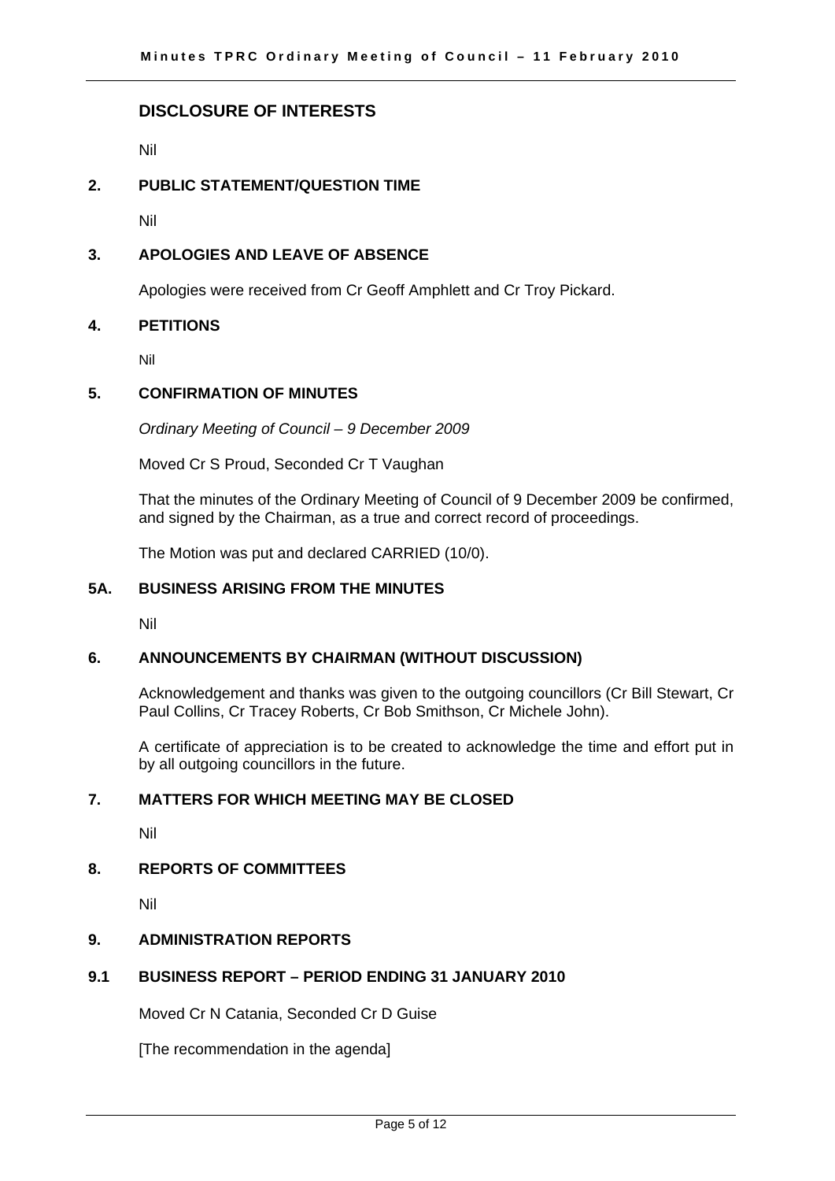#### **DISCLOSURE OF INTERESTS**

Nil

#### **2. PUBLIC STATEMENT/QUESTION TIME**

Nil

#### **3. APOLOGIES AND LEAVE OF ABSENCE**

Apologies were received from Cr Geoff Amphlett and Cr Troy Pickard.

#### **4. PETITIONS**

Nil

#### **5. CONFIRMATION OF MINUTES**

*Ordinary Meeting of Council – 9 December 2009* 

Moved Cr S Proud, Seconded Cr T Vaughan

That the minutes of the Ordinary Meeting of Council of 9 December 2009 be confirmed, and signed by the Chairman, as a true and correct record of proceedings.

The Motion was put and declared CARRIED (10/0).

#### **5A. BUSINESS ARISING FROM THE MINUTES**

Nil

#### **6. ANNOUNCEMENTS BY CHAIRMAN (WITHOUT DISCUSSION)**

Acknowledgement and thanks was given to the outgoing councillors (Cr Bill Stewart, Cr Paul Collins, Cr Tracey Roberts, Cr Bob Smithson, Cr Michele John).

A certificate of appreciation is to be created to acknowledge the time and effort put in by all outgoing councillors in the future.

#### **7. MATTERS FOR WHICH MEETING MAY BE CLOSED**

Nil

#### **8. REPORTS OF COMMITTEES**

Nil

#### **9. ADMINISTRATION REPORTS**

#### **9.1 BUSINESS REPORT – PERIOD ENDING 31 JANUARY 2010**

Moved Cr N Catania, Seconded Cr D Guise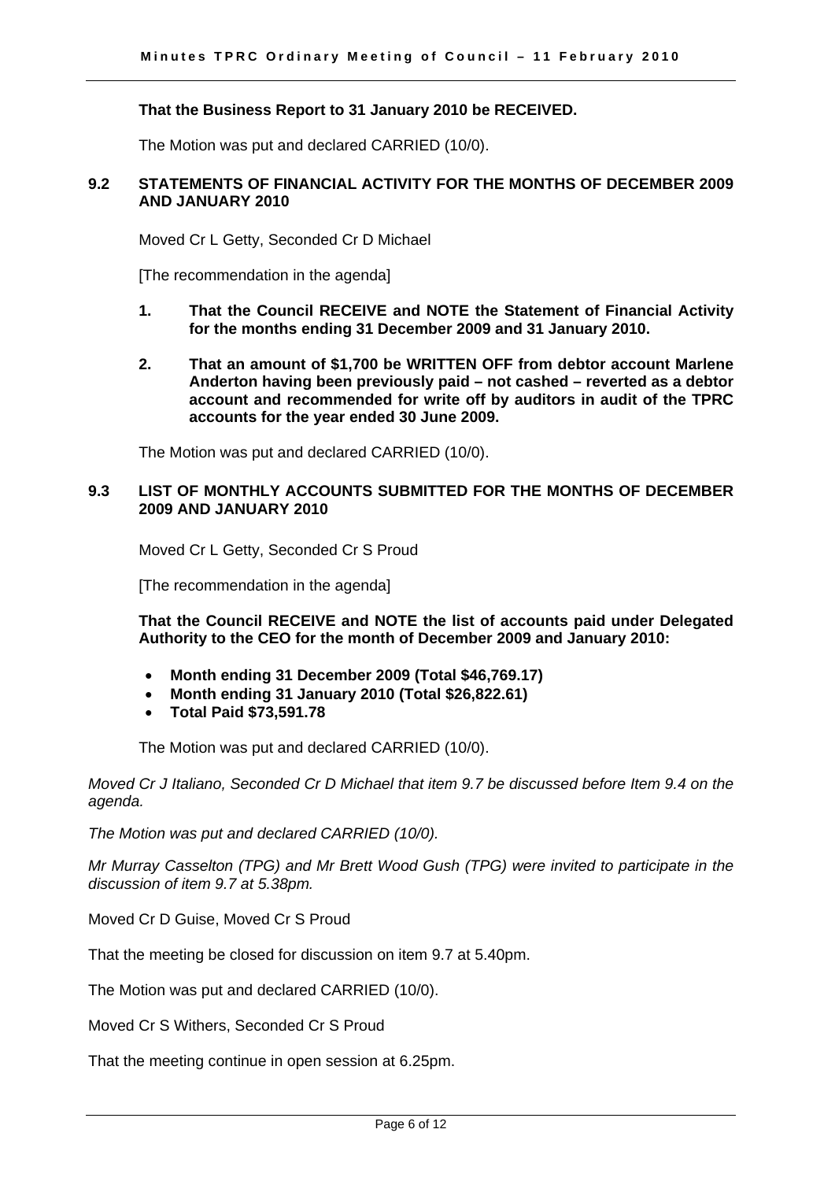#### **That the Business Report to 31 January 2010 be RECEIVED.**

The Motion was put and declared CARRIED (10/0).

#### **9.2 STATEMENTS OF FINANCIAL ACTIVITY FOR THE MONTHS OF DECEMBER 2009 AND JANUARY 2010**

Moved Cr L Getty, Seconded Cr D Michael

[The recommendation in the agenda]

- **1. That the Council RECEIVE and NOTE the Statement of Financial Activity for the months ending 31 December 2009 and 31 January 2010.**
- **2. That an amount of \$1,700 be WRITTEN OFF from debtor account Marlene Anderton having been previously paid – not cashed – reverted as a debtor account and recommended for write off by auditors in audit of the TPRC accounts for the year ended 30 June 2009.**

The Motion was put and declared CARRIED (10/0).

#### **9.3 LIST OF MONTHLY ACCOUNTS SUBMITTED FOR THE MONTHS OF DECEMBER 2009 AND JANUARY 2010**

Moved Cr L Getty, Seconded Cr S Proud

[The recommendation in the agenda]

**That the Council RECEIVE and NOTE the list of accounts paid under Delegated Authority to the CEO for the month of December 2009 and January 2010:** 

- **Month ending 31 December 2009 (Total \$46,769.17)**
- **Month ending 31 January 2010 (Total \$26,822.61)**
- **Total Paid \$73,591.78**

The Motion was put and declared CARRIED (10/0).

*Moved Cr J Italiano, Seconded Cr D Michael that item 9.7 be discussed before Item 9.4 on the agenda.* 

*The Motion was put and declared CARRIED (10/0).* 

*Mr Murray Casselton (TPG) and Mr Brett Wood Gush (TPG) were invited to participate in the discussion of item 9.7 at 5.38pm.* 

Moved Cr D Guise, Moved Cr S Proud

That the meeting be closed for discussion on item 9.7 at 5.40pm.

The Motion was put and declared CARRIED (10/0).

Moved Cr S Withers, Seconded Cr S Proud

That the meeting continue in open session at 6.25pm.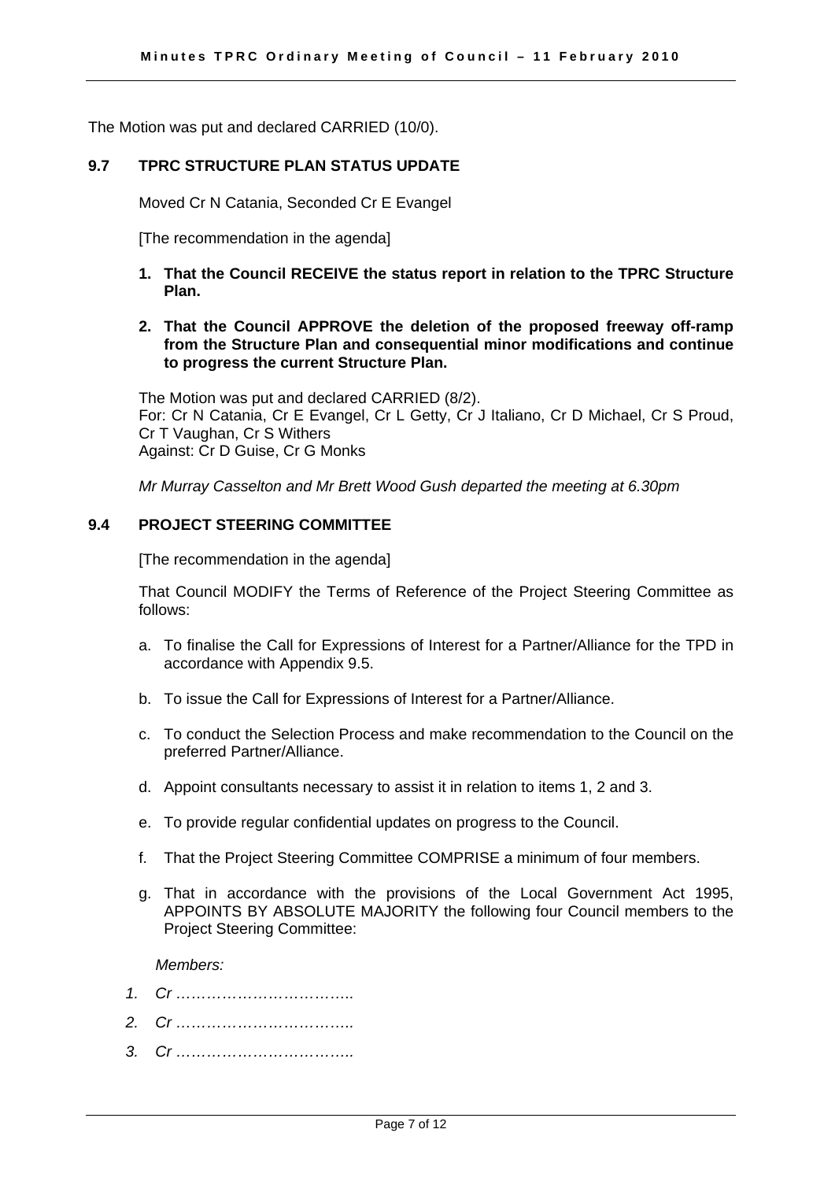The Motion was put and declared CARRIED (10/0).

#### **9.7 TPRC STRUCTURE PLAN STATUS UPDATE**

Moved Cr N Catania, Seconded Cr E Evangel

[The recommendation in the agenda]

- **1. That the Council RECEIVE the status report in relation to the TPRC Structure Plan.**
- **2. That the Council APPROVE the deletion of the proposed freeway off-ramp from the Structure Plan and consequential minor modifications and continue to progress the current Structure Plan.**

The Motion was put and declared CARRIED (8/2). For: Cr N Catania, Cr E Evangel, Cr L Getty, Cr J Italiano, Cr D Michael, Cr S Proud, Cr T Vaughan, Cr S Withers Against: Cr D Guise, Cr G Monks

*Mr Murray Casselton and Mr Brett Wood Gush departed the meeting at 6.30pm*

#### **9.4 PROJECT STEERING COMMITTEE**

[The recommendation in the agenda]

That Council MODIFY the Terms of Reference of the Project Steering Committee as follows:

- a. To finalise the Call for Expressions of Interest for a Partner/Alliance for the TPD in accordance with Appendix 9.5.
- b. To issue the Call for Expressions of Interest for a Partner/Alliance.
- c. To conduct the Selection Process and make recommendation to the Council on the preferred Partner/Alliance.
- d. Appoint consultants necessary to assist it in relation to items 1, 2 and 3.
- e. To provide regular confidential updates on progress to the Council.
- f. That the Project Steering Committee COMPRISE a minimum of four members.
- g. That in accordance with the provisions of the Local Government Act 1995, APPOINTS BY ABSOLUTE MAJORITY the following four Council members to the Project Steering Committee:

 *Members:* 

- *1. Cr ……………………………..*
- *2. Cr ……………………………..*
- *3. Cr ……………………………..*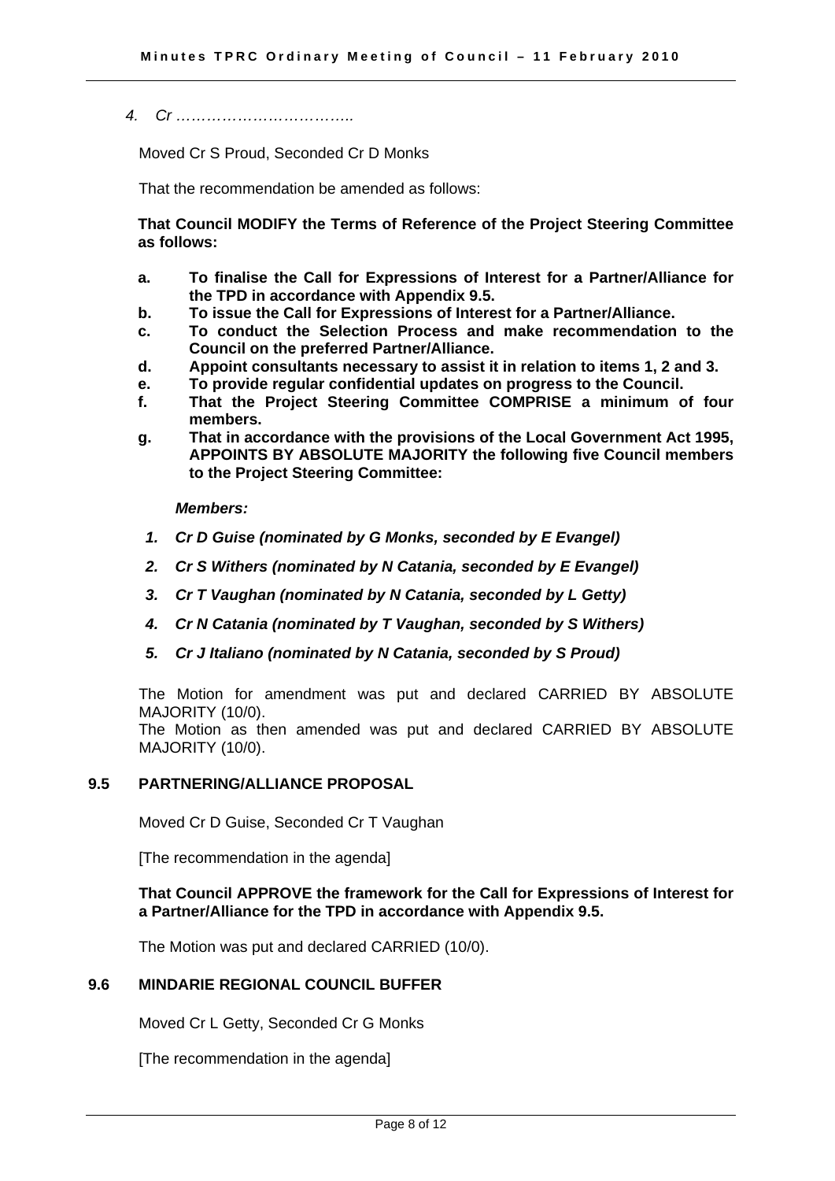*4. Cr ……………………………..* 

Moved Cr S Proud, Seconded Cr D Monks

That the recommendation be amended as follows:

**That Council MODIFY the Terms of Reference of the Project Steering Committee as follows:** 

- **a. To finalise the Call for Expressions of Interest for a Partner/Alliance for the TPD in accordance with Appendix 9.5.**
- **b. To issue the Call for Expressions of Interest for a Partner/Alliance.**
- **c. To conduct the Selection Process and make recommendation to the Council on the preferred Partner/Alliance.**
- **d. Appoint consultants necessary to assist it in relation to items 1, 2 and 3.**
- **e. To provide regular confidential updates on progress to the Council.**
- **f. That the Project Steering Committee COMPRISE a minimum of four members.**
- **g. That in accordance with the provisions of the Local Government Act 1995, APPOINTS BY ABSOLUTE MAJORITY the following five Council members to the Project Steering Committee:**

 *Members:* 

- *1. Cr D Guise (nominated by G Monks, seconded by E Evangel)*
- *2. Cr S Withers (nominated by N Catania, seconded by E Evangel)*
- *3. Cr T Vaughan (nominated by N Catania, seconded by L Getty)*
- *4. Cr N Catania (nominated by T Vaughan, seconded by S Withers)*
- *5. Cr J Italiano (nominated by N Catania, seconded by S Proud)*

The Motion for amendment was put and declared CARRIED BY ABSOLUTE MAJORITY (10/0). The Motion as then amended was put and declared CARRIED BY ABSOLUTE

MAJORITY (10/0).

#### **9.5 PARTNERING/ALLIANCE PROPOSAL**

Moved Cr D Guise, Seconded Cr T Vaughan

[The recommendation in the agenda]

#### **That Council APPROVE the framework for the Call for Expressions of Interest for a Partner/Alliance for the TPD in accordance with Appendix 9.5.**

The Motion was put and declared CARRIED (10/0).

#### **9.6 MINDARIE REGIONAL COUNCIL BUFFER**

Moved Cr L Getty, Seconded Cr G Monks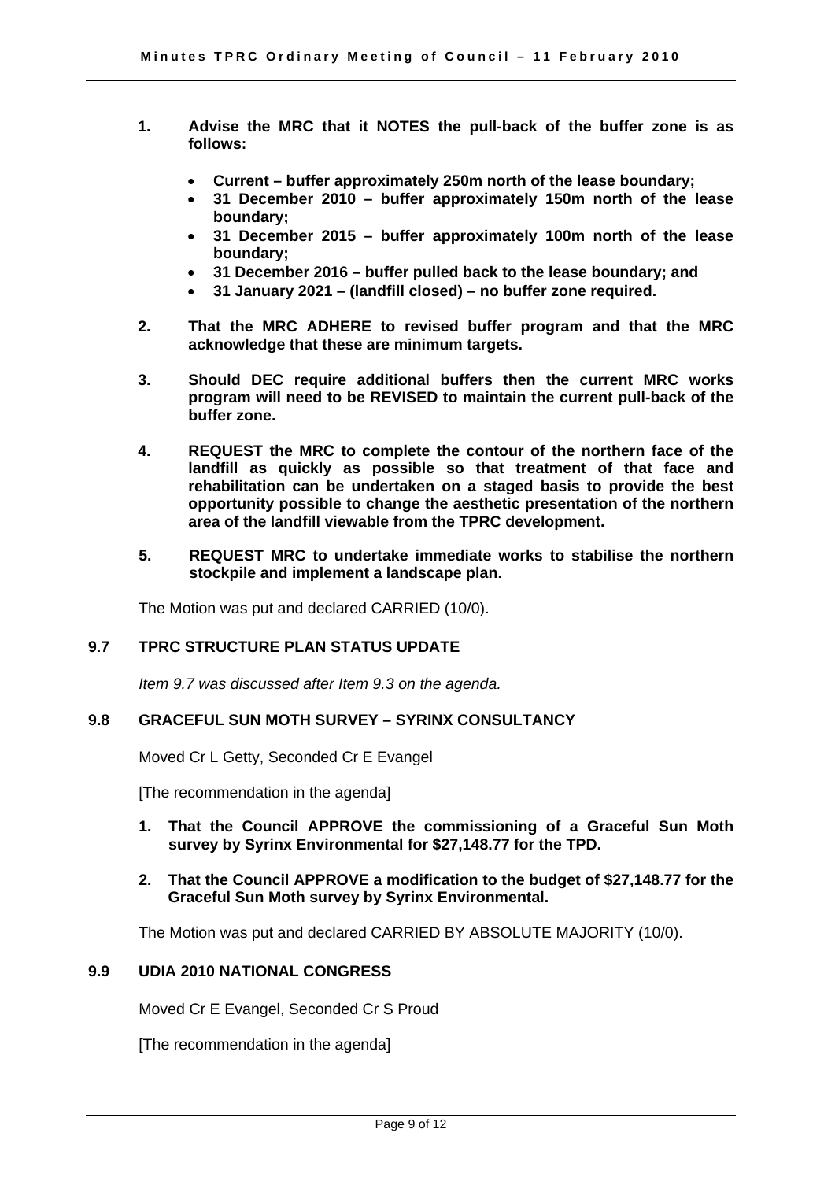- **1. Advise the MRC that it NOTES the pull-back of the buffer zone is as follows:** 
	- **Current buffer approximately 250m north of the lease boundary;**
	- **31 December 2010 buffer approximately 150m north of the lease boundary;**
	- **31 December 2015 buffer approximately 100m north of the lease boundary;**
	- **31 December 2016 buffer pulled back to the lease boundary; and**
	- **31 January 2021 (landfill closed) no buffer zone required.**
- **2. That the MRC ADHERE to revised buffer program and that the MRC acknowledge that these are minimum targets.**
- **3. Should DEC require additional buffers then the current MRC works program will need to be REVISED to maintain the current pull-back of the buffer zone.**
- **4. REQUEST the MRC to complete the contour of the northern face of the landfill as quickly as possible so that treatment of that face and rehabilitation can be undertaken on a staged basis to provide the best opportunity possible to change the aesthetic presentation of the northern area of the landfill viewable from the TPRC development.**
- **5. REQUEST MRC to undertake immediate works to stabilise the northern stockpile and implement a landscape plan.**

The Motion was put and declared CARRIED (10/0).

#### **9.7 TPRC STRUCTURE PLAN STATUS UPDATE**

*Item 9.7 was discussed after Item 9.3 on the agenda.* 

#### **9.8 GRACEFUL SUN MOTH SURVEY – SYRINX CONSULTANCY**

Moved Cr L Getty, Seconded Cr E Evangel

[The recommendation in the agenda]

**1. That the Council APPROVE the commissioning of a Graceful Sun Moth survey by Syrinx Environmental for \$27,148.77 for the TPD.** 

#### **2. That the Council APPROVE a modification to the budget of \$27,148.77 for the Graceful Sun Moth survey by Syrinx Environmental.**

The Motion was put and declared CARRIED BY ABSOLUTE MAJORITY (10/0).

#### **9.9 UDIA 2010 NATIONAL CONGRESS**

Moved Cr E Evangel, Seconded Cr S Proud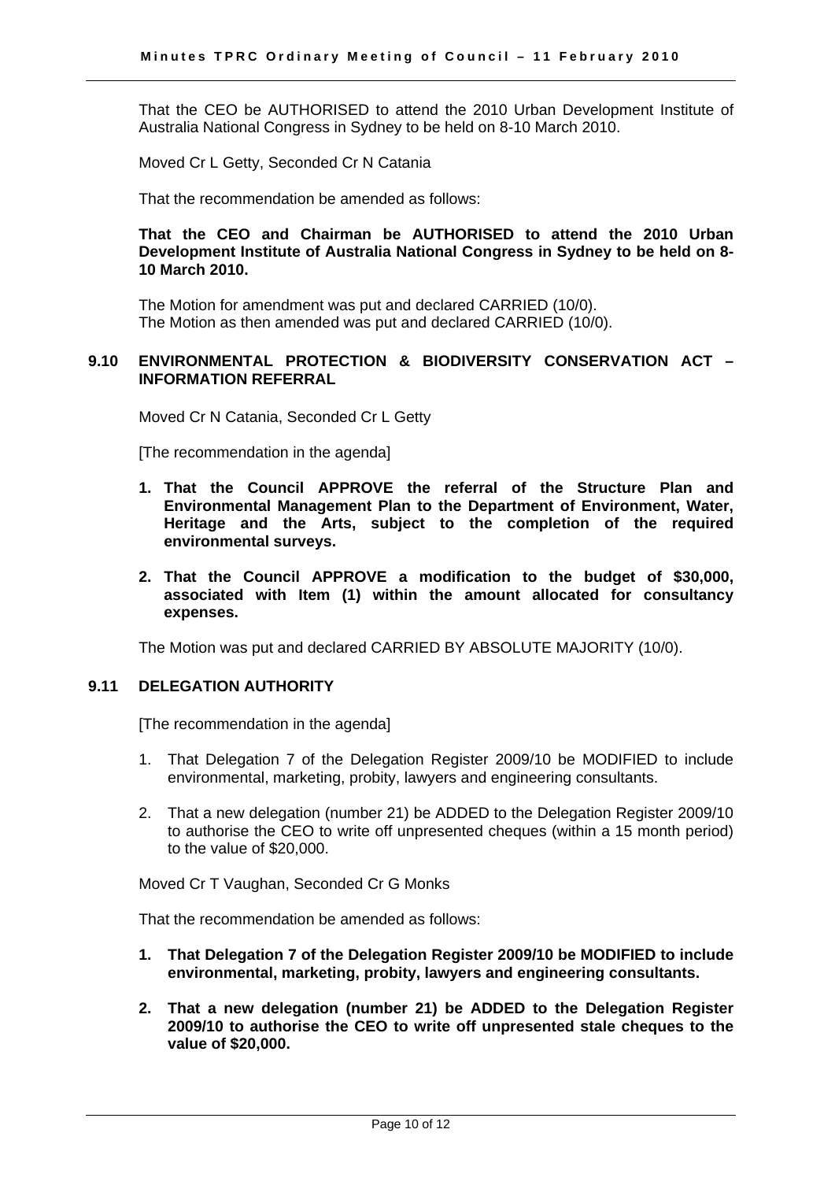That the CEO be AUTHORISED to attend the 2010 Urban Development Institute of Australia National Congress in Sydney to be held on 8-10 March 2010.

Moved Cr L Getty, Seconded Cr N Catania

That the recommendation be amended as follows:

**That the CEO and Chairman be AUTHORISED to attend the 2010 Urban Development Institute of Australia National Congress in Sydney to be held on 8- 10 March 2010.** 

The Motion for amendment was put and declared CARRIED (10/0). The Motion as then amended was put and declared CARRIED (10/0).

#### **9.10 ENVIRONMENTAL PROTECTION & BIODIVERSITY CONSERVATION ACT – INFORMATION REFERRAL**

Moved Cr N Catania, Seconded Cr L Getty

[The recommendation in the agenda]

- **1. That the Council APPROVE the referral of the Structure Plan and Environmental Management Plan to the Department of Environment, Water, Heritage and the Arts, subject to the completion of the required environmental surveys.**
- **2. That the Council APPROVE a modification to the budget of \$30,000, associated with Item (1) within the amount allocated for consultancy expenses.**

The Motion was put and declared CARRIED BY ABSOLUTE MAJORITY (10/0).

#### **9.11 DELEGATION AUTHORITY**

[The recommendation in the agenda]

- 1. That Delegation 7 of the Delegation Register 2009/10 be MODIFIED to include environmental, marketing, probity, lawyers and engineering consultants.
- 2. That a new delegation (number 21) be ADDED to the Delegation Register 2009/10 to authorise the CEO to write off unpresented cheques (within a 15 month period) to the value of \$20,000.

Moved Cr T Vaughan, Seconded Cr G Monks

That the recommendation be amended as follows:

- **1. That Delegation 7 of the Delegation Register 2009/10 be MODIFIED to include environmental, marketing, probity, lawyers and engineering consultants.**
- **2. That a new delegation (number 21) be ADDED to the Delegation Register 2009/10 to authorise the CEO to write off unpresented stale cheques to the value of \$20,000.**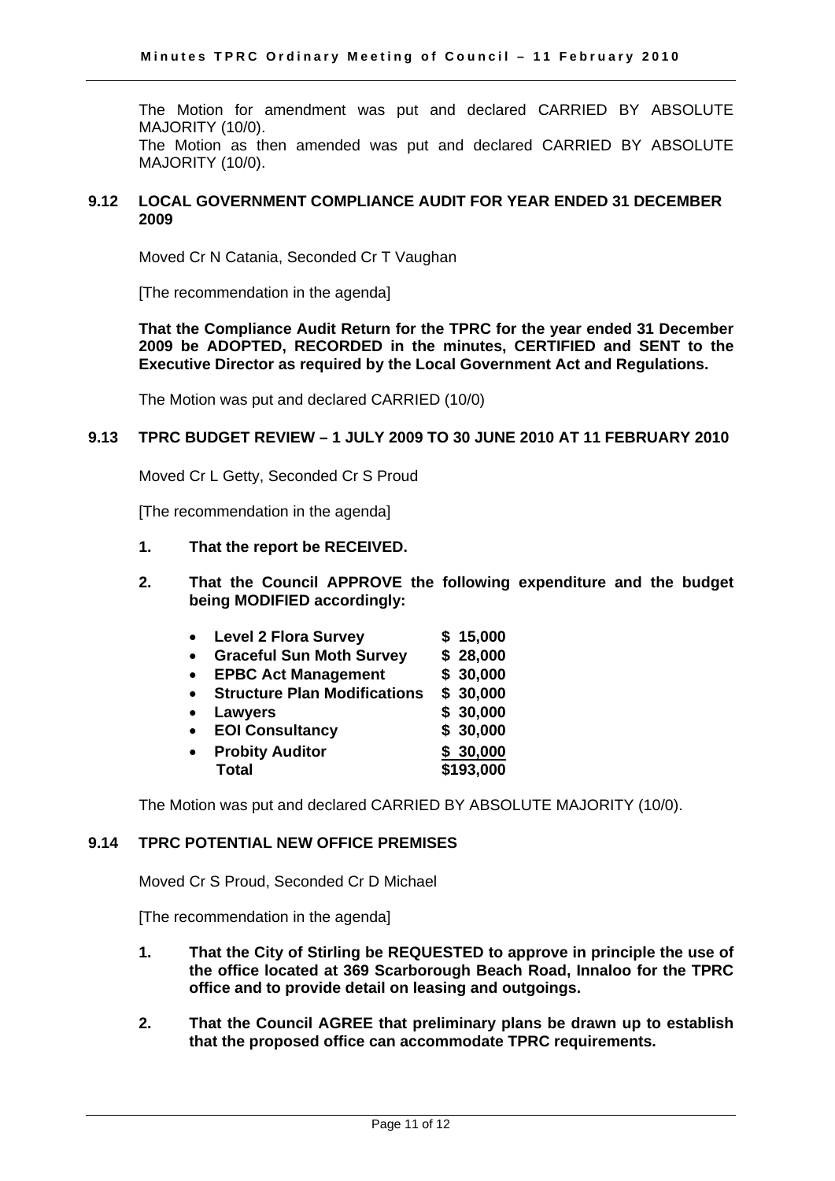The Motion for amendment was put and declared CARRIED BY ABSOLUTE MAJORITY (10/0). The Motion as then amended was put and declared CARRIED BY ABSOLUTE MAJORITY (10/0).

#### **9.12 LOCAL GOVERNMENT COMPLIANCE AUDIT FOR YEAR ENDED 31 DECEMBER 2009**

Moved Cr N Catania, Seconded Cr T Vaughan

[The recommendation in the agenda]

**That the Compliance Audit Return for the TPRC for the year ended 31 December 2009 be ADOPTED, RECORDED in the minutes, CERTIFIED and SENT to the Executive Director as required by the Local Government Act and Regulations.** 

The Motion was put and declared CARRIED (10/0)

#### **9.13 TPRC BUDGET REVIEW – 1 JULY 2009 TO 30 JUNE 2010 AT 11 FEBRUARY 2010**

Moved Cr L Getty, Seconded Cr S Proud

[The recommendation in the agenda]

- **1. That the report be RECEIVED.**
- **2. That the Council APPROVE the following expenditure and the budget being MODIFIED accordingly:** 
	- **Level 2 Flora Survey \$ 15,000**
	- **Graceful Sun Moth Survey \$ 28,000**
	- **EPBC Act Management \$ 30,000**
	- **Structure Plan Modifications \$ 30,000**
	- **Lawyers \$ 30,000**
	- **EOI Consultancy \$ 30,000**
	- **Probity Auditor \$ 30,000 Total \$193,000**

The Motion was put and declared CARRIED BY ABSOLUTE MAJORITY (10/0).

#### **9.14 TPRC POTENTIAL NEW OFFICE PREMISES**

Moved Cr S Proud, Seconded Cr D Michael

- **1. That the City of Stirling be REQUESTED to approve in principle the use of the office located at 369 Scarborough Beach Road, Innaloo for the TPRC office and to provide detail on leasing and outgoings.**
- **2. That the Council AGREE that preliminary plans be drawn up to establish that the proposed office can accommodate TPRC requirements.**